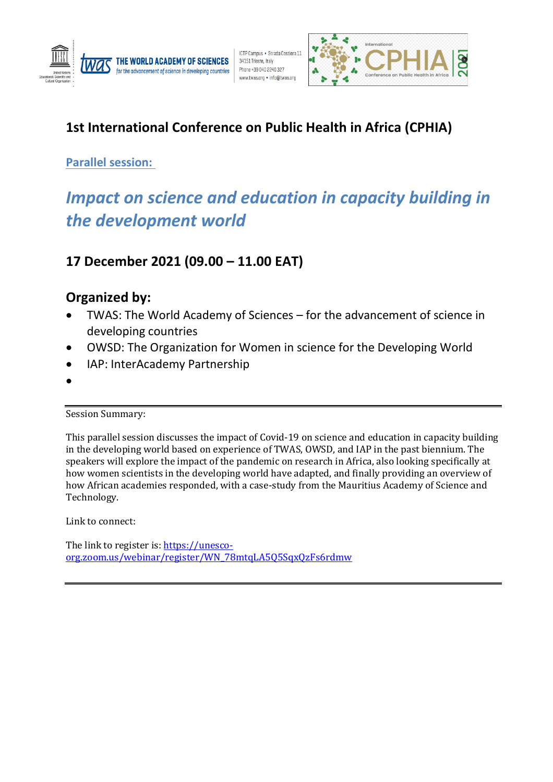



# **1st International Conference on Public Health in Africa (CPHIA)**

## **Parallel session:**

# *Impact on science and education in capacity building in the development world*

## **17 December 2021 (09.00 – 11.00 EAT)**

## **Organized by:**

- TWAS: The World Academy of Sciences for the advancement of science in developing countries
- OWSD: The Organization for Women in science for the Developing World
- IAP: InterAcademy Partnership
- •

Session Summary:

This parallel session discusses the impact of Covid-19 on science and education in capacity building in the developing world based on experience of TWAS, OWSD, and IAP in the past biennium. The speakers will explore the impact of the pandemic on research in Africa, also looking specifically at how women scientists in the developing world have adapted, and finally providing an overview of how African academies responded, with a case-study from the Mauritius Academy of Science and Technology.

Link to connect:

The link to register is: [https://unesco](https://unesco-org.zoom.us/webinar/register/WN_78mtqLA5Q5SqxQzFs6rdmw)[org.zoom.us/webinar/register/WN\\_78mtqLA5Q5SqxQzFs6rdmw](https://unesco-org.zoom.us/webinar/register/WN_78mtqLA5Q5SqxQzFs6rdmw)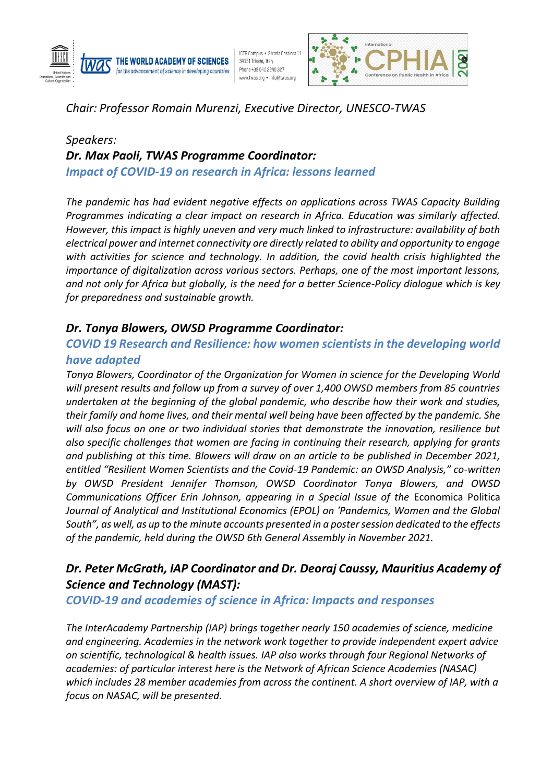

ICTP Campus . Strada Costiera 11 34151 Trieste, Italy Phone +39 040 2240 327 www.twas.org • info@twas.org



*Chair: Professor Romain Murenzi, Executive Director, UNESCO-TWAS*

## *Speakers: Dr. Max Paoli, TWAS Programme Coordinator: Impact of COVID-19 on research in Africa: lessons learned*

*The pandemic has had evident negative effects on applications across TWAS Capacity Building Programmes indicating a clear impact on research in Africa. Education was similarly affected. However, this impact is highly uneven and very much linked to infrastructure: availability of both electrical power and internet connectivity are directly related to ability and opportunity to engage with activities for science and technology. In addition, the covid health crisis highlighted the importance of digitalization across various sectors. Perhaps, one of the most important lessons, and not only for Africa but globally, is the need for a better Science-Policy dialogue which is key for preparedness and sustainable growth.*

#### *Dr. Tonya Blowers, OWSD Programme Coordinator:*

#### *COVID 19 Research and Resilience: how women scientists in the developing world have adapted*

*Tonya Blowers, Coordinator of the Organization for Women in science for the Developing World will present results and follow up from a survey of over 1,400 OWSD members from 85 countries undertaken at the beginning of the global pandemic, who describe how their work and studies, their family and home lives, and their mental well being have been affected by the pandemic. She will also focus on one or two individual stories that demonstrate the innovation, resilience but also specific challenges that women are facing in continuing their research, applying for grants and publishing at this time. Blowers will draw on an article to be published in December 2021, entitled "Resilient Women Scientists and the Covid-19 Pandemic: an OWSD Analysis," co-written by OWSD President Jennifer Thomson, OWSD Coordinator Tonya Blowers, and OWSD Communications Officer Erin Johnson, appearing in a Special Issue of the* Economica Politica *Journal of Analytical and Institutional Economics (EPOL) on 'Pandemics, Women and the Global South", as well, as up to the minute accounts presented in a poster session dedicated to the effects of the pandemic, held during the OWSD 6th General Assembly in November 2021.* 

## *Dr. Peter McGrath, IAP Coordinator and Dr. Deoraj Caussy, Mauritius Academy of Science and Technology (MAST):*

#### *COVID-19 and academies of science in Africa: Impacts and responses*

*The InterAcademy Partnership (IAP) brings together nearly 150 academies of science, medicine and engineering. Academies in the network work together to provide independent expert advice on scientific, technological & health issues. IAP also works through four Regional Networks of academies: of particular interest here is the Network of African Science Academies (NASAC) which includes 28 member academies from across the continent. A short overview of IAP, with a focus on NASAC, will be presented.*